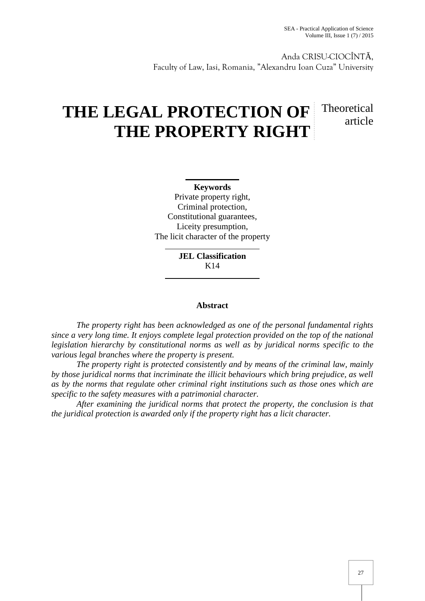Anda CRISU-CIOCÎNT , Faculty of Law, Iasi, Romania, "Alexandru Ioan Cuza" University

# **THE LEGAL PROTECTION OF Theoretical THE PROPERTY RIGHT** article

**Keywords** Private property right, Criminal protection, Constitutional guarantees, Liceity presumption, The licit character of the property

> **JEL Classification** K14

## **Abstract**

*The property right has been acknowledged as one of the personal fundamental rights since a very long time. It enjoys complete legal protection provided on the top of the national legislation hierarchy by constitutional norms as well as by juridical norms specific to the various legal branches where the property is present.*

*The property right is protected consistently and by means of the criminal law, mainly by those juridical norms that incriminate the illicit behaviours which bring prejudice, as well as by the norms that regulate other criminal right institutions such as those ones which are specific to the safety measures with a patrimonial character.*

*After examining the juridical norms that protect the property, the conclusion is that the juridical protection is awarded only if the property right has a licit character.*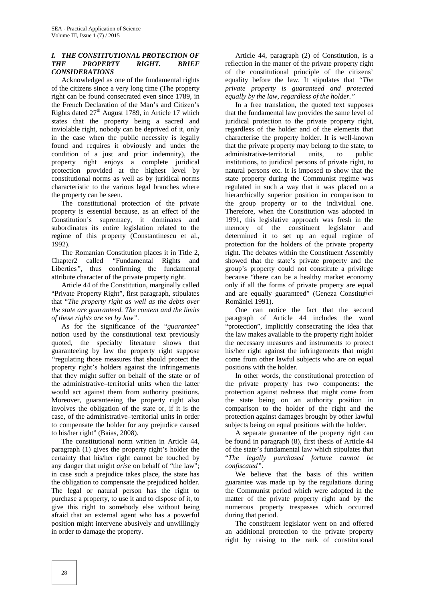### *I. THE CONSTITUTIONAL PROTECTION OF THE PROPERTY RIGHT. BRIEF CONSIDERATIONS*

Acknowledged as one of the fundamental rights of the citizens since a very long time (The property right can be found consecrated even since 1789, in the French Declaration of the Man's and Citizen's Rights dated 27<sup>th</sup> August 1789, in Article 17 which states that the property being a sacred and inviolable right, nobody can be deprived of it, only in the case when the public necessity is legally found and requires it obviously and under the condition of a just and prior indemnity), the property right enjoys a complete juridical protection provided at the highest level by constitutional norms as well as by juridical norms characteristic to the various legal branches where the property can be seen.

The constitutional protection of the private property is essential because, as an effect of the Constitution's supremacy, it dominates and subordinates its entire legislation related to the regime of this property (Constantinescu et al., 1992).

The Romanian Constitution places it in Title 2, Chapter2 called *"*Fundamental Rights and Liberties*",* thus confirming the fundamental attribute character of the private property right.

Article 44 of the Constitution, marginally called "Private Property Right", first paragraph, stipulates that "*The property right as well as the debts over the state are guaranteed. The content and the limits of these rights are set by law".*

As for the significance of the "*guarantee*" notion used by the constitutional text previously quoted, the specialty literature shows that guaranteeing by law the property right suppose *"*regulating those measures that should protect the property right's holders against the infringements that they might suffer on behalf of the state or of the administrative–territorial units when the latter would act against them from authority positions. Moreover, guaranteeing the property right also involves the obligation of the state or, if it is the case, of the administrative–territorial units in order to compensate the holder for any prejudice caused to his/her right" (Baias, 2008).

The constitutional norm written in Article 44, paragraph (1) gives the property right's holder the certainty that his/her right cannot be touched by any danger that might *arise* on behalf of "the law"; in case such a prejudice takes place, the state has the obligation to compensate the prejudiced holder. The legal or natural person has the right to purchase a property, to use it and to dispose of it, to give this right to somebody else without being afraid that an external agent who has a powerful position might intervene abusively and unwillingly in order to damage the property.

Article 44, paragraph (2) of Constitution, is a reflection in the matter of the private property right of the constitutional principle of the citizens' equality before the law. It stipulates that *"The private property is guaranteed and protected equally by the law, regardless of the holder."*

In a free translation, the quoted text supposes that the fundamental law provides the same level of juridical protection to the private property right, regardless of the holder and of the elements that characterise the property holder. It is well-known that the private property may belong to the state, to administrative-territorial units, to public institutions, to juridical persons of private right, to natural persons etc. It is imposed to show that the state property during the Communist regime was regulated in such a way that it was placed on a hierarchically superior position in comparison to the group property or to the individual one. Therefore, when the Constitution was adopted in 1991, this legislative approach was fresh in the memory of the constituent legislator and determined it to set up an equal regime of protection for the holders of the private property right. The debates within the Constituent Assembly showed that the state's private property and the group's property could not constitute a privilege because "there can be a healthy market economy only if all the forms of private property are equal and are equally guaranteed" (Geneza Constituției României 1991).

One can notice the fact that the second paragraph of Article 44 includes the word "protection", implicitly consecrating the idea that the law makes available to the property right holder the necessary measures and instruments to protect his/her right against the infringements that might come from other lawful subjects who are on equal positions with the holder.

In other words, the constitutional protection of the private property has two components: the protection against rashness that might come from the state being on an authority position in comparison to the holder of the right and the protection against damages brought by other lawful subjects being on equal positions with the holder.

A separate guarantee of the property right can be found in paragraph (8), first thesis of Article 44 of the state's fundamental law which stipulates that "*The legally purchased fortune cannot be confiscated".*

We believe that the basis of this written guarantee was made up by the regulations during the Communist period which were adopted in the matter of the private property right and by the numerous property trespasses which occurred during that period.

The constituent legislator went on and offered an additional protection to the private property right by raising to the rank of constitutional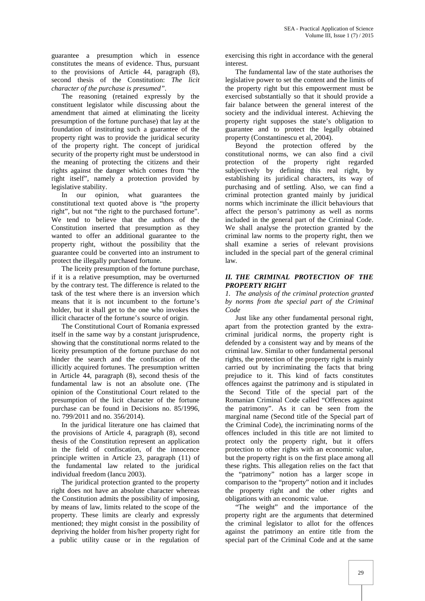guarantee a presumption which in essence constitutes the means of evidence. Thus, pursuant to the provisions of Article 44, paragraph (8), second thesis of the Constitution: *The licit character of the purchase is presumed".*

The reasoning (retained expressly by the constituent legislator while discussing about the amendment that aimed at eliminating the liceity presumption of the fortune purchase) that lay at the foundation of instituting such a guarantee of the property right was to provide the juridical security of the property right. The concept of juridical security of the property right must be understood in the meaning of protecting the citizens and their rights against the danger which comes from "the right itself", namely a protection provided by legislative stability.

In our opinion, what guarantees the constitutional text quoted above is "the property right", but not "the right to the purchased fortune". We tend to believe that the authors of the Constitution inserted that presumption as they wanted to offer an additional guarantee to the property right, without the possibility that the guarantee could be converted into an instrument to protect the illegally purchased fortune.

The liceity presumption of the fortune purchase, if it is a relative presumption, may be overturned by the contrary test. The difference is related to the task of the test where there is an inversion which means that it is not incumbent to the fortune's holder, but it shall get to the one who invokes the illicit character of the fortune's source of origin.

The Constitutional Court of Romania expressed itself in the same way by a constant jurisprudence, showing that the constitutional norms related to the liceity presumption of the fortune purchase do not hinder the search and the confiscation of the illicitly acquired fortunes. The presumption written in Article 44, paragraph (8), second thesis of the fundamental law is not an absolute one. (The opinion of the Constitutional Court related to the presumption of the licit character of the fortune purchase can be found in Decisions no. 85/1996, no. 799/2011 and no. 356/2014).

In the juridical literature one has claimed that the provisions of Article 4, paragraph (8), second thesis of the Constitution represent an application in the field of confiscation, of the innocence principle written in Article 23, paragraph (11) of the fundamental law related to the juridical individual freedom (Iancu 2003).

The juridical protection granted to the property right does not have an absolute character whereas the Constitution admits the possibility of imposing, by means of law, limits related to the scope of the property. These limits are clearly and expressly mentioned; they might consist in the possibility of depriving the holder from his/her property right for a public utility cause or in the regulation of exercising this right in accordance with the general interest.

The fundamental law of the state authorises the legislative power to set the content and the limits of the property right but this empowerment must be exercised substantially so that it should provide a fair balance between the general interest of the society and the individual interest. Achieving the property right supposes the state's obligation to guarantee and to protect the legally obtained property (Constantinescu et al, 2004).

Beyond the protection offered by the constitutional norms, we can also find a civil protection of the property right regarded subjectively by defining this real right, by establishing its juridical characters, its way of purchasing and of settling. Also, we can find a criminal protection granted mainly by juridical norms which incriminate the illicit behaviours that affect the person's patrimony as well as norms included in the general part of the Criminal Code. We shall analyse the protection granted by the criminal law norms to the property right, then we shall examine a series of relevant provisions included in the special part of the general criminal law.

#### *II. THE CRIMINAL PROTECTION OF THE PROPERTY RIGHT*

*1. The analysis of the criminal protection granted by norms from the special part of the Criminal Code*

Just like any other fundamental personal right, apart from the protection granted by the extra criminal juridical norms, the property right is defended by a consistent way and by means of the criminal law. Similar to other fundamental personal rights, the protection of the property right is mainly carried out by incriminating the facts that bring prejudice to it. This kind of facts constitutes offences against the patrimony and is stipulated in the Second Title of the special part of the Romanian Criminal Code called "Offences against the patrimony". As it can be seen from the marginal name (Second title of the Special part of the Criminal Code), the incriminating norms of the offences included in this title are not limited to protect only the property right, but it offers protection to other rights with an economic value, but the property right is on the first place among all these rights. This allegation relies on the fact that the "patrimony" notion has a larger scope in comparison to the "property" notion and it includes the property right and the other rights and obligations with an economic value.

"The weight" and the importance of the property right are the arguments that determined the criminal legislator to allot for the offences against the patrimony an entire title from the special part of the Criminal Code and at the same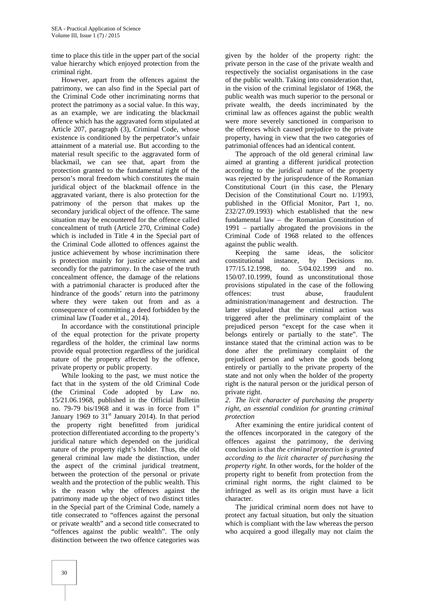time to place this title in the upper part of the social value hierarchy which enjoyed protection from the criminal right.

However, apart from the offences against the patrimony, we can also find in the Special part of the Criminal Code other incriminating norms that protect the patrimony as a social value. In this way, as an example, we are indicating the blackmail offence which has the aggravated form stipulated at Article 207, paragraph (3), Criminal Code, whose existence is conditioned by the perpetrator's unfair attainment of a material use. But according to the material result specific to the aggravated form of blackmail, we can see that, apart from the protection granted to the fundamental right of the person's moral freedom which constitutes the main juridical object of the blackmail offence in the aggravated variant, there is also protection for the patrimony of the person that makes up the secondary juridical object of the offence. The same situation may be encountered for the offence called concealment of truth (Article 270, Criminal Code) which is included in Title 4 in the Special part of the Criminal Code allotted to offences against the justice achievement by whose incrimination there is protection mainly for justice achievement and secondly for the patrimony. In the case of the truth concealment offence, the damage of the relations with a patrimonial character is produced after the hindrance of the goods' return into the patrimony offences: where they were taken out from and as a consequence of committing a deed forbidden by the criminal law (Toader et al., 2014).

In accordance with the constitutional principle of the equal protection for the private property regardless of the holder, the criminal law norms provide equal protection regardless of the juridical nature of the property affected by the offence, private property or public property.

While looking to the past, we must notice the fact that in the system of the old Criminal Code (the Criminal Code adopted by Law no. 15/21.06.1968, published in the Official Bulletin no. 79-79 bis/1968 and it was in force from  $1<sup>st</sup>$ January 1969 to  $31<sup>st</sup>$  January 2014). In that period the property right benefitted from juridical protection differentiated according to the property's juridical nature which depended on the juridical nature of the property right's holder. Thus, the old general criminal law made the distinction, under the aspect of the criminal juridical treatment, between the protection of the personal or private wealth and the protection of the public wealth. This is the reason why the offences against the patrimony made up the object of two distinct titles in the Special part of the Criminal Code, namely a title consecrated to "offences against the personal or private wealth" and a second title consecrated to "offences against the public wealth". The only distinction between the two offence categories was

given by the holder of the property right: the private person in the case of the private wealth and respectively the socialist organisations in the case of the public wealth. Taking into consideration that, in the vision of the criminal legislator of 1968, the public wealth was much superior to the personal or private wealth, the deeds incriminated by the criminal law as offences against the public wealth were more severely sanctioned in comparison to the offences which caused prejudice to the private property, having in view that the two categories of patrimonial offences had an identical content.

The approach of the old general criminal law aimed at granting a different juridical protection according to the juridical nature of the property was rejected by the jurisprudence of the Romanian Constitutional Court (in this case, the Plenary Decision of the Constitutional Court no. 1/1993, published in the Official Monitor, Part 1, no. 232/27.09.1993) which established that the new fundamental law – the Romanian Constitution of 1991 – partially abrogated the provisions in the Criminal Code of 1968 related to the offences against the public wealth.

Keeping the same ideas, the solicitor constitutional instance, by Decisions no. 177/15.12.1998, no. 5/04.02.1999 and no. 150/07.10.1999, found as unconstitutional those provisions stipulated in the case of the following trust abuse, fraudulent administration/management and destruction. The latter stipulated that the criminal action was triggered after the preliminary complaint of the prejudiced person "except for the case when it belongs entirely or partially to the state". The instance stated that the criminal action was to be done after the preliminary complaint of the prejudiced person and when the goods belong entirely or partially to the private property of the state and not only when the holder of the property right is the natural person or the juridical person of private right.

*2. The licit character of purchasing the property right, an essential condition for granting criminal protection*

After examining the entire juridical content of the offences incorporated in the category of the offences against the patrimony, the deriving conclusion is that *the criminal protection is granted according to the licit character of purchasing the property right*. In other words, for the holder of the property right to benefit from protection from the criminal right norms, the right claimed to be infringed as well as its origin must have a licit character.

The juridical criminal norm does not have to protect any factual situation, but only the situation which is compliant with the law whereas the person who acquired a good illegally may not claim the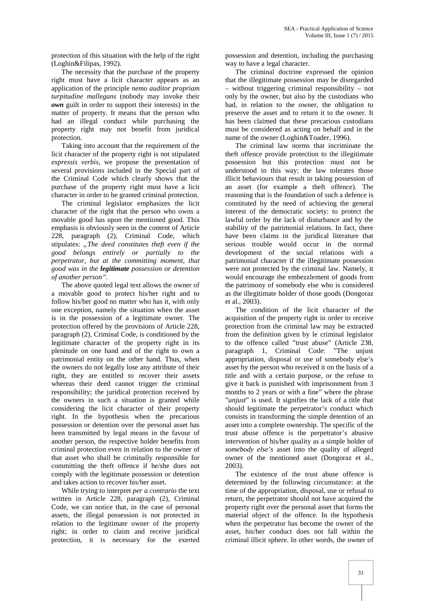protection of this situation with the help of the right (Loghin&Filipas, 1992).

The necessity that the purchase of the property right must have a licit character appears as an application of the principle *nemo auditor propriam turpitudine mallegans* (nobody may invoke their *own* guilt in order to support their interests) in the matter of property. It means that the person who had an illegal conduct while purchasing the property right may not benefit from juridical protection.

Taking into account that the requirement of the licit character of the property right is not stipulated *expressis verbis,* we propose the presentation of several provisions included in the Special part of the Criminal Code which clearly shows that the purchase of the property right must have a licit character in order to be granted criminal protection.

The criminal legislator emphasizes the licit character of the right that the person who owns a movable good has upon the mentioned good. This emphasis is obviously seen in the content of Article 228, paragraph (2), Criminal Code, which stipulates: "*The deed constitutes theft even if the good belongs entirely or partially to the perpetrator, but at the committing moment, that good was in the legitimate possession or detention of another person".*

The above quoted legal text allows the owner of a movable good to protect his/her right and to follow his/her good no matter who has it, with only one exception, namely the situation when the asset is in the possession of a legitimate owner. The protection offered by the provisions of Article 228, paragraph (2), Criminal Code, is conditioned by the legitimate character of the property right in its plenitude on one hand and of the right to own a patrimonial entity on the other hand. Thus, when the owners do not legally lose any attribute of their right, they are entitled to recover their assets whereas their deed cannot trigger the criminal responsibility; the juridical protection received by the owners in such a situation is granted while considering the licit character of their property right. In the hypothesis when the precarious possession or detention over the personal asset has been transmitted by legal means in the favour of another person, the respective holder benefits from criminal protection even in relation to the owner of that asset who shall be criminally responsible for committing the theft offence if he/she does not comply with the legitimate possession or detention and takes action to recover his/her asset.

While trying to interpret *per a contrario* the text written in Article 228, paragraph (2), Criminal Code, we can notice that, in the case of personal assets, the illegal possession is not protected in relation to the legitimate owner of the property right; in order to claim and receive juridical protection, it is necessary for the exerted

possession and detention, including the purchasing way to have a legal character.

The criminal doctrine expressed the opinion that the illegitimate possession may be disregarded – without triggering criminal responsibility – not only by the owner, but also by the custodians who had, in relation to the owner, the obligation to preserve the asset and to return it to the owner. It has been claimed that these precarious custodians must be considered as acting on behalf and in the name of the owner (Loghin&Toader, 1996).

The criminal law norms that incriminate the theft offence provide protection to the illegitimate possession but this protection must not be understood in this way: the law tolerates those illicit behaviours that result in taking possession of an asset (for example a theft offence). The reasoning that is the foundation of such a defence is constituted by the need of achieving the general interest of the democratic society: to protect the lawful order by the lack of disturbance and by the stability of the patrimonial relations. In fact, there have been claims in the juridical literature that serious trouble would occur in the normal development of the social relations with a patrimonial character if the illegitimate possession were not protected by the criminal law. Namely, it would encourage the embezzlement of goods from the patrimony of somebody else who is considered as the illegitimate holder of those goods (Dongoraz et al., 2003).

The condition of the licit character of the acquisition of the property right in order to receive protection from the criminal law may be extracted from the definition given by le criminal legislator to the offence called "trust abuse" (Article 238, paragraph 1, Criminal Code: "The unjust appropriation, disposal or use of somebody else's asset by the person who received it on the basis of a title and with a certain purpose, or the refuse to give it back is punished with imprisonment from 3 months to 2 years or with a fine" where the phrase "*unjust*" is used. It signifies the lack of a title that should legitimate the perpetrator's conduct which consists in transforming the simple detention of an asset into a complete ownership. The specific of the trust abuse offence is the perpetrator's abusive intervention of his/her quality as a simple holder of *somebody else's* asset into the quality of alleged owner of the mentioned asset (Dongoraz et al., 2003).

The existence of the trust abuse offence is determined by the following circumstance: at the time of the appropriation, disposal, use or refusal to return, the perpetrator should not have acquired the property right over the personal asset that forms the material object of the offence. In the hypothesis when the perpetrator has become the owner of the asset, his/her conduct does not fall within the criminal illicit sphere. In other words, the owner of